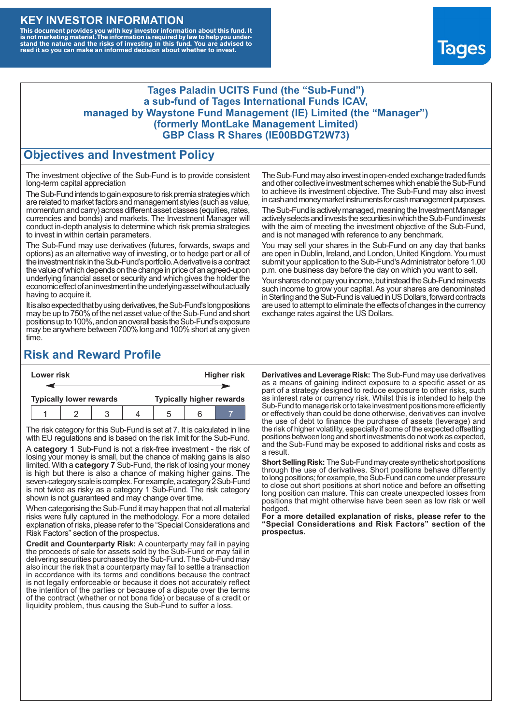## **KEY INVESTOR INFORMATION**

This document provides you with key investor information about this fund. It<br>is not marketing material. The information is required by law to help you under-<br>stand the nature and the risks of investing in this fund. You ar



### **Tages Paladin UCITS Fund (the "Sub-Fund") a sub-fund of Tages International Funds ICAV, managed by Waystone Fund Management (IE) Limited (the "Manager") (formerly MontLake Management Limited) GBP Class R Shares (IE00BDGT2W73)**

### **Objectives and Investment Policy**

The investment objective of the Sub-Fund is to provide consistent long-term capital appreciation

The Sub-Fund intends to gain exposure to risk premia strategies which are related to market factors and management styles (such as value, momentum and carry) across different asset classes (equities, rates, currencies and bonds) and markets. The Investment Manager will conduct in-depth analysis to determine which risk premia strategies to invest in within certain parameters.

The Sub-Fund may use derivatives (futures, forwards, swaps and options) as an alternative way of investing, or to hedge part or all of the investment risk intheSub-Fund's portfolio.Aderivative is a contract the value of which depends on the change in price of an agreed-upon underlying financial asset or security and which gives the holder the economic effect of an investment in the underlying asset without actually having to acquire it.

It is also expected that by using derivatives, the Sub-Fund's long positions may be up to 750% of the net asset value of the Sub-Fund and short positions up to 100%, and on an overall basis the Sub-Fund's exposure may be anywhere between 700% long and 100% short at any given time.

The Sub-Fund may also invest in open-ended exchange traded funds and other collective investment schemes which enable the Sub-Fund to achieve its investment objective. The Sub-Fund may also invest in cash and money market instruments for cash management purposes.

The Sub-Fund is actively managed, meaning the Investment Manager actively selects and invests the securities in which the Sub-Fund invests with the aim of meeting the investment objective of the Sub-Fund, and is not managed with reference to any benchmark.

You may sell your shares in the Sub-Fund on any day that banks are open in Dublin, Ireland, and London, United Kingdom. You must submit your application to the Sub-Fund's Administrator before 1.00 p.m. one business day before the day on which you want to sell.

Your shares do not pay you income, but instead the Sub-Fund reinvests such income to grow your capital. As your shares are denominated in Sterling and the Sub-Fund is valued in US Dollars, forward contracts are used to attempt to eliminate the effects of changes in the currency exchange rates against the US Dollars.

# **Risk and Reward Profile**

| Lower risk |                                |  |  |  | <b>Higher risk</b>              |     |  |  |
|------------|--------------------------------|--|--|--|---------------------------------|-----|--|--|
|            |                                |  |  |  |                                 |     |  |  |
|            | <b>Typically lower rewards</b> |  |  |  | <b>Typically higher rewards</b> |     |  |  |
|            |                                |  |  |  |                                 | ี่ค |  |  |

The risk category for this Sub-Fund is set at 7. It is calculated in line with EU regulations and is based on the risk limit for the Sub-Fund.

A **category 1** Sub-Fund is not a risk-free investment - the risk of losing your money is small, but the chance of making gains is also limited. With a **category 7** Sub-Fund, the risk of losing your money is high but there is also a chance of making higher gains. The seven-category scale is complex. For example, a category 2 Sub-Fund is not twice as risky as a category 1 Sub-Fund. The risk category shown is not guaranteed and may change over time.

When categorising the Sub-Fund it may happen that not all material risks were fully captured in the methodology. For a more detailed explanation of risks, please refer to the "Special Considerations and Risk Factors" section of the prospectus.

**Credit and Counterparty Risk:** A counterparty may fail in paying the proceeds of sale for assets sold by the Sub-Fund or may fail in delivering securities purchased by the Sub-Fund. The Sub-Fund may also incur the risk that a counterparty may fail to settle a transaction in accordance with its terms and conditions because the contract is not legally enforceable or because it does not accurately reflect the intention of the parties or because of a dispute over the terms of the contract (whether or not bona fide) or because of a credit or liquidity problem, thus causing the Sub-Fund to suffer a loss.

**Derivatives and Leverage Risk:** The Sub-Fund may use derivatives as a means of gaining indirect exposure to a specific asset or as part of a strategy designed to reduce exposure to other risks, such as interest rate or currency risk. Whilst this is intended to help the Sub-Fund to manage risk or to take investment positions more efficiently or effectively than could be done otherwise, derivatives can involve the use of debt to finance the purchase of assets (leverage) and the risk of higher volatility, especially if some of the expected offsetting positions between long and short investments do not work as expected, and the Sub-Fund may be exposed to additional risks and costs as a result.

**Short Selling Risk:** The Sub-Fund may create synthetic short positions through the use of derivatives. Short positions behave differently to long positions; for example, the Sub-Fund can come under pressure to close out short positions at short notice and before an offsetting long position can mature. This can create unexpected losses from positions that might otherwise have been seen as low risk or well hedged.

**For a more detailed explanation of risks, please refer to the "Special Considerations and Risk Factors" section of the prospectus.**